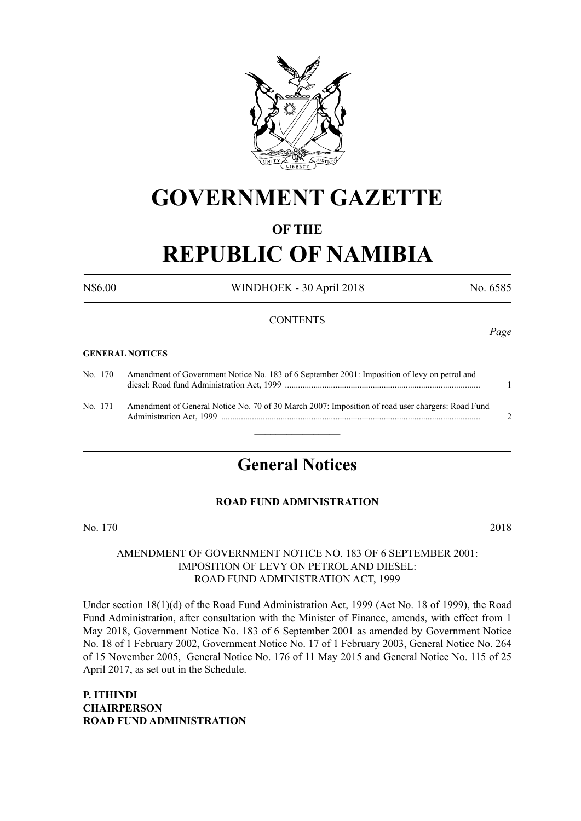

## **GOVERNMENT GAZETTE**

#### **OF THE**

# **REPUBLIC OF NAMIBIA**

N\$6.00 WINDHOEK - 30 April 2018 No. 6585

#### **CONTENTS**

#### **GENERAL NOTICES**

| No. 170 | Amendment of Government Notice No. 183 of 6 September 2001: Imposition of levy on petrol and     |  |
|---------|--------------------------------------------------------------------------------------------------|--|
| No. 171 | Amendment of General Notice No. 70 of 30 March 2007: Imposition of road user chargers: Road Fund |  |

### **General Notices**

#### **ROAD FUND ADMINISTRATION**

No. 170 2018

#### AMENDMENT OF GOVERNMENT NOTICE NO. 183 OF 6 SEPTEMBER 2001: IMPOSITION OF LEVY ON PETROL AND DIESEL: ROAD FUND ADMINISTRATION ACT, 1999

Under section 18(1)(d) of the Road Fund Administration Act, 1999 (Act No. 18 of 1999), the Road Fund Administration, after consultation with the Minister of Finance, amends, with effect from 1 May 2018, Government Notice No. 183 of 6 September 2001 as amended by Government Notice No. 18 of 1 February 2002, Government Notice No. 17 of 1 February 2003, General Notice No. 264 of 15 November 2005, General Notice No. 176 of 11 May 2015 and General Notice No. 115 of 25 April 2017, as set out in the Schedule.

**P. ITHINDI CHAIRPERSON ROAD FUND ADMINISTRATION** *Page*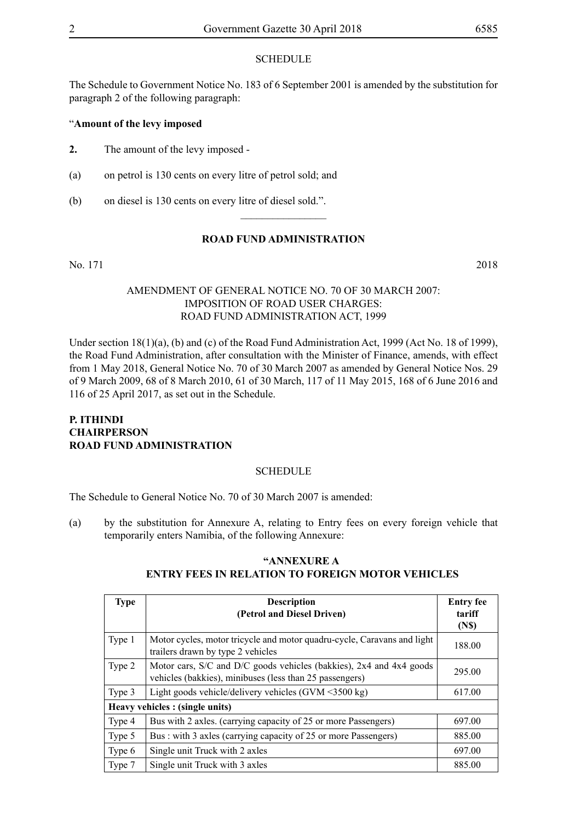#### **SCHEDULE**

The Schedule to Government Notice No. 183 of 6 September 2001 is amended by the substitution for paragraph 2 of the following paragraph:

#### "**Amount of the levy imposed**

- **2.** The amount of the levy imposed -
- (a) on petrol is 130 cents on every litre of petrol sold; and
- (b) on diesel is 130 cents on every litre of diesel sold.".

#### **ROAD FUND ADMINISTRATION**

 $\overline{\phantom{a}}$  , where  $\overline{\phantom{a}}$ 

No. 171 2018

#### AMENDMENT OF GENERAL NOTICE NO. 70 OF 30 MARCH 2007: IMPOSITION OF ROAD USER CHARGES: ROAD FUND ADMINISTRATION ACT, 1999

Under section 18(1)(a), (b) and (c) of the Road Fund Administration Act, 1999 (Act No. 18 of 1999), the Road Fund Administration, after consultation with the Minister of Finance, amends, with effect from 1 May 2018, General Notice No. 70 of 30 March 2007 as amended by General Notice Nos. 29 of 9 March 2009, 68 of 8 March 2010, 61 of 30 March, 117 of 11 May 2015, 168 of 6 June 2016 and 116 of 25 April 2017, as set out in the Schedule.

#### **P. ITHINDI CHAIRPERSON ROAD FUND ADMINISTRATION**

#### **SCHEDULE**

The Schedule to General Notice No. 70 of 30 March 2007 is amended:

(a) by the substitution for Annexure A, relating to Entry fees on every foreign vehicle that temporarily enters Namibia, of the following Annexure:

| <b>Type</b> | <b>Description</b><br>(Petrol and Diesel Driven)                                                                               | <b>Entry fee</b><br>tariff<br>(N <sub>s</sub> ) |  |  |  |
|-------------|--------------------------------------------------------------------------------------------------------------------------------|-------------------------------------------------|--|--|--|
| Type 1      | Motor cycles, motor tricycle and motor quadru-cycle, Caravans and light<br>trailers drawn by type 2 vehicles                   | 188.00                                          |  |  |  |
| Type 2      | Motor cars, S/C and D/C goods vehicles (bakkies), 2x4 and 4x4 goods<br>vehicles (bakkies), minibuses (less than 25 passengers) | 295.00                                          |  |  |  |
| Type 3      | Light goods vehicle/delivery vehicles $(GVM \le 3500 kg)$                                                                      | 617.00                                          |  |  |  |
|             | Heavy vehicles : (single units)                                                                                                |                                                 |  |  |  |
| Type 4      | Bus with 2 axles. (carrying capacity of 25 or more Passengers)                                                                 | 697.00                                          |  |  |  |
| Type 5      | Bus: with 3 axles (carrying capacity of 25 or more Passengers)                                                                 | 885.00                                          |  |  |  |
| Type 6      | Single unit Truck with 2 axles                                                                                                 | 697.00                                          |  |  |  |
| Type 7      | Single unit Truck with 3 axles                                                                                                 | 885.00                                          |  |  |  |

#### **"ANNEXURE A ENTRY FEES IN RELATION TO FOREIGN MOTOR VEHICLES**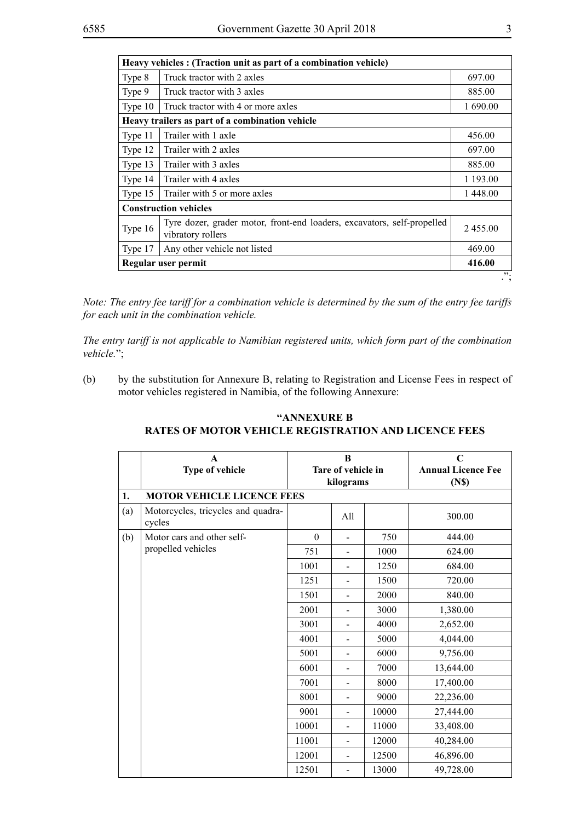|         | Heavy vehicles : (Traction unit as part of a combination vehicle)                            |          |  |  |
|---------|----------------------------------------------------------------------------------------------|----------|--|--|
| Type 8  | Truck tractor with 2 axles                                                                   | 697.00   |  |  |
| Type 9  | Truck tractor with 3 axles                                                                   | 885.00   |  |  |
| Type 10 | Truck tractor with 4 or more axles                                                           | 1 690.00 |  |  |
|         | Heavy trailers as part of a combination vehicle                                              |          |  |  |
| Type 11 | Trailer with 1 axle                                                                          | 456.00   |  |  |
| Type 12 | Trailer with 2 axles                                                                         | 697.00   |  |  |
| Type 13 | Trailer with 3 axles                                                                         | 885.00   |  |  |
| Type 14 | Trailer with 4 axles                                                                         | 1 193.00 |  |  |
| Type 15 | Trailer with 5 or more axles                                                                 | 1448.00  |  |  |
|         | <b>Construction vehicles</b>                                                                 |          |  |  |
| Type 16 | Tyre dozer, grader motor, front-end loaders, excavators, self-propelled<br>vibratory rollers | 2455.00  |  |  |
| Type 17 | Any other vehicle not listed                                                                 | 469.00   |  |  |
|         | 416.00<br>Regular user permit                                                                |          |  |  |
|         |                                                                                              | "<br>٠,  |  |  |

*Note: The entry fee tariff for a combination vehicle is determined by the sum of the entry fee tariffs for each unit in the combination vehicle.* 

*The entry tariff is not applicable to Namibian registered units, which form part of the combination vehicle.*";

(b) by the substitution for Annexure B, relating to Registration and License Fees in respect of motor vehicles registered in Namibia, of the following Annexure:

|     | $\mathbf{A}$<br>Type of vehicle              | B<br>Tare of vehicle in<br>kilograms |                |       | $\mathbf C$<br><b>Annual Licence Fee</b><br>(N <sub>s</sub> ) |
|-----|----------------------------------------------|--------------------------------------|----------------|-------|---------------------------------------------------------------|
| 1.  | <b>MOTOR VEHICLE LICENCE FEES</b>            |                                      |                |       |                                                               |
| (a) | Motorcycles, tricycles and quadra-<br>cycles |                                      | All            |       | 300.00                                                        |
| (b) | Motor cars and other self-                   | $\boldsymbol{0}$                     |                | 750   | 444.00                                                        |
|     | propelled vehicles                           | 751                                  |                | 1000  | 624.00                                                        |
|     |                                              | 1001                                 | $\blacksquare$ | 1250  | 684.00                                                        |
|     |                                              | 1251                                 |                | 1500  | 720.00                                                        |
|     |                                              | 1501                                 |                | 2000  | 840.00                                                        |
|     |                                              | 2001                                 |                | 3000  | 1,380.00                                                      |
|     |                                              | 3001                                 |                | 4000  | 2,652.00                                                      |
|     |                                              | 4001                                 |                | 5000  | 4,044.00                                                      |
|     |                                              | 5001                                 |                | 6000  | 9,756.00                                                      |
|     |                                              | 6001                                 |                | 7000  | 13,644.00                                                     |
|     |                                              | 7001                                 |                | 8000  | 17,400.00                                                     |
|     |                                              | 8001                                 | $\blacksquare$ | 9000  | 22,236.00                                                     |
|     |                                              | 9001                                 |                | 10000 | 27,444.00                                                     |
|     |                                              | 10001                                |                | 11000 | 33,408.00                                                     |
|     |                                              | 11001                                | $\blacksquare$ | 12000 | 40,284.00                                                     |
|     |                                              | 12001                                | $\overline{a}$ | 12500 | 46,896.00                                                     |
|     |                                              | 12501                                | $\overline{a}$ | 13000 | 49,728.00                                                     |

#### **"ANNEXURE B RATES OF MOTOR VEHICLE REGISTRATION AND LICENCE FEES**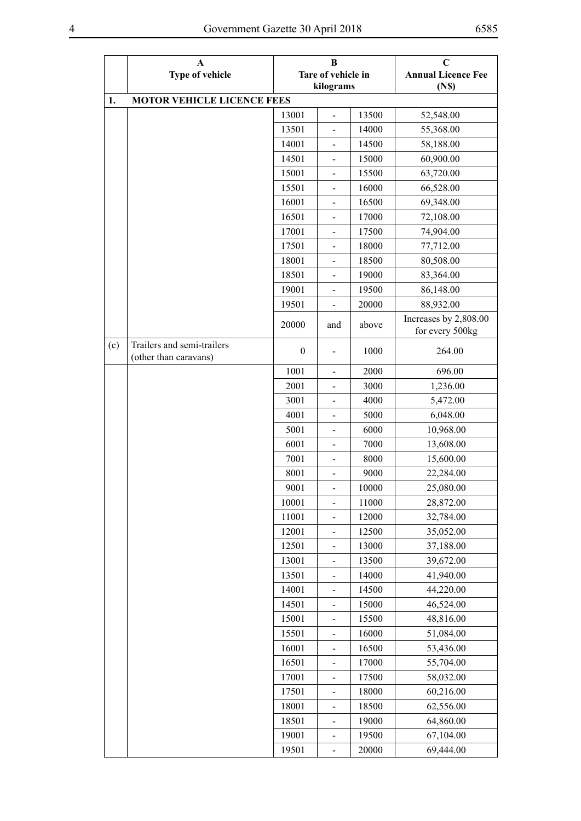|     | $\mathbf A$<br>Type of vehicle                      |                  | B<br>Tare of vehicle in      |       | $\mathbf C$<br><b>Annual Licence Fee</b> |  |  |
|-----|-----------------------------------------------------|------------------|------------------------------|-------|------------------------------------------|--|--|
|     |                                                     |                  | kilograms                    |       | (N <sub>s</sub> )                        |  |  |
| 1.  | <b>MOTOR VEHICLE LICENCE FEES</b>                   |                  |                              |       |                                          |  |  |
|     |                                                     | 13001            | $\overline{\phantom{0}}$     | 13500 | 52,548.00                                |  |  |
|     |                                                     | 13501            | $\blacksquare$               | 14000 | 55,368.00                                |  |  |
|     |                                                     | 14001            | $\qquad \qquad \blacksquare$ | 14500 | 58,188.00                                |  |  |
|     |                                                     | 14501            | $\overline{a}$               | 15000 | 60,900.00                                |  |  |
|     |                                                     | 15001            | $\qquad \qquad \blacksquare$ | 15500 | 63,720.00                                |  |  |
|     |                                                     | 15501            | $\frac{1}{2}$                | 16000 | 66,528.00                                |  |  |
|     |                                                     | 16001            |                              | 16500 | 69,348.00                                |  |  |
|     |                                                     | 16501            | $\overline{a}$               | 17000 | 72,108.00                                |  |  |
|     |                                                     | 17001            | $\overline{a}$               | 17500 | 74,904.00                                |  |  |
|     |                                                     | 17501            | $\qquad \qquad \blacksquare$ | 18000 | 77,712.00                                |  |  |
|     |                                                     | 18001            |                              | 18500 | 80,508.00                                |  |  |
|     |                                                     | 18501            | $\overline{a}$               | 19000 | 83,364.00                                |  |  |
|     |                                                     | 19001            | $\overline{a}$               | 19500 | 86,148.00                                |  |  |
|     |                                                     | 19501            | $\overline{a}$               | 20000 | 88,932.00                                |  |  |
|     |                                                     | 20000            | and                          | above | Increases by 2,808.00<br>for every 500kg |  |  |
| (c) | Trailers and semi-trailers<br>(other than caravans) | $\boldsymbol{0}$ |                              | 1000  | 264.00                                   |  |  |
|     |                                                     | 1001             | $\overline{a}$               | 2000  | 696.00                                   |  |  |
|     |                                                     | 2001             | $\qquad \qquad \blacksquare$ | 3000  | 1,236.00                                 |  |  |
|     |                                                     | 3001             |                              | 4000  | 5,472.00                                 |  |  |
|     |                                                     | 4001             | $\qquad \qquad -$            | 5000  | 6,048.00                                 |  |  |
|     |                                                     | 5001             |                              | 6000  | 10,968.00                                |  |  |
|     |                                                     | 6001             | $\qquad \qquad \blacksquare$ | 7000  | 13,608.00                                |  |  |
|     |                                                     | 7001             | $\overline{\phantom{0}}$     | 8000  | 15,600.00                                |  |  |
|     |                                                     | 8001             | $\overline{\phantom{0}}$     | 9000  | 22,284.00                                |  |  |
|     |                                                     | 9001             | $\overline{a}$               | 10000 | 25,080.00                                |  |  |
|     |                                                     | 10001            | $\qquad \qquad \blacksquare$ | 11000 | 28,872.00                                |  |  |
|     |                                                     | 11001            |                              | 12000 | 32,784.00                                |  |  |
|     |                                                     | 12001            | $\qquad \qquad \blacksquare$ | 12500 | 35,052.00                                |  |  |
|     |                                                     | 12501            | $\blacksquare$               | 13000 | 37,188.00                                |  |  |
|     |                                                     | 13001            | $\overline{\phantom{0}}$     | 13500 | 39,672.00                                |  |  |
|     |                                                     | 13501            |                              | 14000 | 41,940.00                                |  |  |
|     |                                                     | 14001            | $\overline{\phantom{0}}$     | 14500 | 44,220.00                                |  |  |
|     |                                                     | 14501            |                              | 15000 | 46,524.00                                |  |  |
|     |                                                     | 15001            |                              | 15500 | 48,816.00                                |  |  |
|     |                                                     | 15501            | $\qquad \qquad \blacksquare$ | 16000 | 51,084.00                                |  |  |
|     |                                                     | 16001            | $\qquad \qquad \blacksquare$ | 16500 | 53,436.00                                |  |  |
|     |                                                     | 16501            | $\qquad \qquad \blacksquare$ | 17000 | 55,704.00                                |  |  |
|     |                                                     | 17001            | $\qquad \qquad \blacksquare$ | 17500 | 58,032.00                                |  |  |
|     |                                                     | 17501            | $\qquad \qquad \blacksquare$ | 18000 | 60,216.00                                |  |  |
|     |                                                     | 18001            | $\overline{\phantom{0}}$     | 18500 | 62,556.00                                |  |  |
|     |                                                     | 18501            | $\blacksquare$               | 19000 | 64,860.00                                |  |  |
|     |                                                     | 19001            |                              | 19500 | 67,104.00                                |  |  |
|     |                                                     | 19501            | $\blacksquare$               | 20000 | 69,444.00                                |  |  |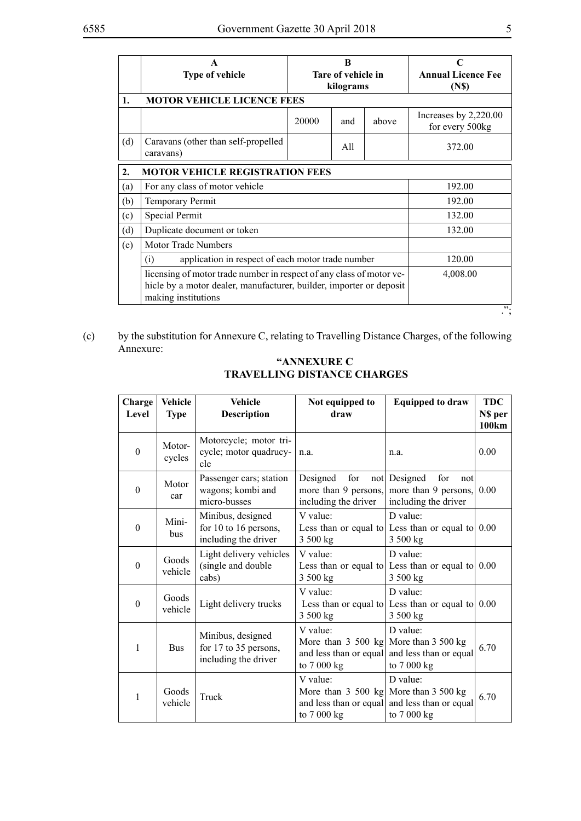|     | A<br>Type of vehicle                                                                                                                                               | B<br>Tare of vehicle in<br>kilograms |          |       | <b>Annual Licence Fee</b><br>(N <sub>s</sub> ) |  |  |
|-----|--------------------------------------------------------------------------------------------------------------------------------------------------------------------|--------------------------------------|----------|-------|------------------------------------------------|--|--|
| 1.  | <b>MOTOR VEHICLE LICENCE FEES</b>                                                                                                                                  |                                      |          |       |                                                |  |  |
|     |                                                                                                                                                                    | 20000                                | and      | above | Increases by 2,220.00<br>for every 500kg       |  |  |
| (d) | Caravans (other than self-propelled<br>caravans)                                                                                                                   |                                      | All      |       | 372.00                                         |  |  |
| 2.  | <b>MOTOR VEHICLE REGISTRATION FEES</b>                                                                                                                             |                                      |          |       |                                                |  |  |
| (a) | For any class of motor vehicle                                                                                                                                     |                                      |          |       | 192.00                                         |  |  |
| (b) | Temporary Permit                                                                                                                                                   |                                      | 192.00   |       |                                                |  |  |
| (c) | Special Permit                                                                                                                                                     |                                      | 132.00   |       |                                                |  |  |
| (d) | Duplicate document or token                                                                                                                                        |                                      | 132.00   |       |                                                |  |  |
| (e) | <b>Motor Trade Numbers</b>                                                                                                                                         |                                      |          |       |                                                |  |  |
|     | application in respect of each motor trade number<br>(i)                                                                                                           |                                      | 120.00   |       |                                                |  |  |
|     | licensing of motor trade number in respect of any class of motor ve-<br>hicle by a motor dealer, manufacturer, builder, importer or deposit<br>making institutions |                                      | 4,008.00 |       |                                                |  |  |
|     | "<br>.,                                                                                                                                                            |                                      |          |       |                                                |  |  |

(c) by the substitution for Annexure C, relating to Travelling Distance Charges, of the following Annexure:

| "ANNEXURE C                        |
|------------------------------------|
| <b>TRAVELLING DISTANCE CHARGES</b> |

| Charge<br>Level | <b>Vehicle</b><br><b>Type</b> | <b>Vehicle</b><br><b>Description</b>                               | Not equipped to<br>draw                                                                                              | <b>Equipped to draw</b>                                                     | <b>TDC</b><br>N\$ per<br>100km |
|-----------------|-------------------------------|--------------------------------------------------------------------|----------------------------------------------------------------------------------------------------------------------|-----------------------------------------------------------------------------|--------------------------------|
| $\theta$        | Motor-<br>cycles              | Motorcycle; motor tri-<br>cycle; motor quadrucy-<br>cle            | n.a.                                                                                                                 | n.a.                                                                        | 0.00                           |
| $\theta$        | Motor<br>car                  | Passenger cars; station<br>wagons; kombi and<br>micro-busses       | Designed<br>for<br>more than 9 persons,<br>including the driver                                                      | not Designed<br>for<br>not<br>more than 9 persons,<br>including the driver  | 0.00                           |
| $\theta$        | Mini-<br><b>bus</b>           | Minibus, designed<br>for 10 to 16 persons,<br>including the driver | V value:<br>3 500 kg                                                                                                 | D value:<br>Less than or equal to Less than or equal to $0.00$<br>3 500 kg  |                                |
| $\theta$        | Goods<br>vehicle              | Light delivery vehicles<br>(single and double<br>cabs)             | V value:<br>3 500 kg                                                                                                 | D value:<br>Less than or equal to Less than or equal to $0.00$<br>3 500 kg  |                                |
| $\theta$        | Goods<br>vehicle              | Light delivery trucks                                              | V value:<br>3 500 kg                                                                                                 | D value:<br>Less than or equal to Less than or equal to $ 0.00$<br>3 500 kg |                                |
| 1               | <b>Bus</b>                    | Minibus, designed<br>for 17 to 35 persons,<br>including the driver | V value:<br>More than $3\,500 \, \text{kg}$ More than $3\,500 \, \text{kg}$<br>and less than or equal<br>to 7 000 kg | D value:<br>and less than or equal<br>to 7 000 kg                           | 6.70                           |
| 1               | Goods<br>vehicle              | Truck                                                              | V value:<br>More than $3\,500 \, \text{kg}$ More than $3\,500 \, \text{kg}$<br>and less than or equal<br>to 7 000 kg | D value:<br>and less than or equal<br>to 7 000 kg                           | 6.70                           |